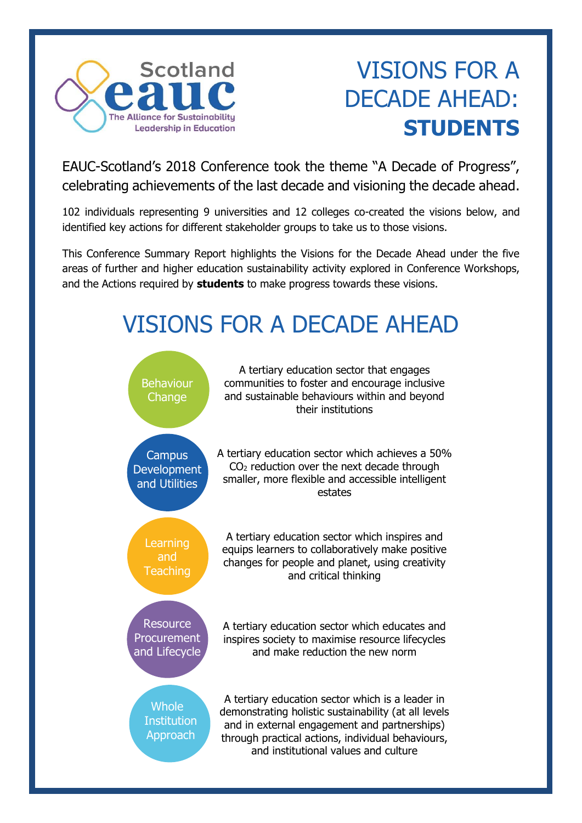

## VISIONS FOR A DECADE AHEAD: **STUDENTS**

EAUC-Scotland's 2018 Conference took the theme "A Decade of Progress", celebrating achievements of the last decade and visioning the decade ahead.

102 individuals representing 9 universities and 12 colleges co-created the visions below, and identified key actions for different stakeholder groups to take us to those visions.

This Conference Summary Report highlights the Visions for the Decade Ahead under the five areas of further and higher education sustainability activity explored in Conference Workshops, and the Actions required by **students** to make progress towards these visions.

# VISIONS FOR A DECADE AHEAD